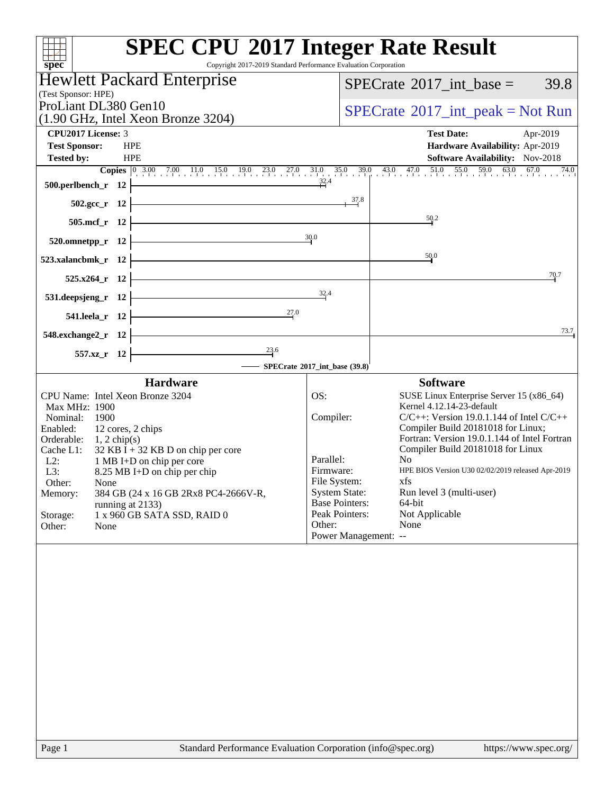| <b>SPEC CPU®2017 Integer Rate Result</b><br>Copyright 2017-2019 Standard Performance Evaluation Corporation<br>spec <sup>®</sup> |                                               |                                                                                                                                                                               |
|----------------------------------------------------------------------------------------------------------------------------------|-----------------------------------------------|-------------------------------------------------------------------------------------------------------------------------------------------------------------------------------|
| <b>Hewlett Packard Enterprise</b>                                                                                                |                                               | $SPECrate^{\circledast}2017\_int\_base =$<br>39.8                                                                                                                             |
| (Test Sponsor: HPE)<br>ProLiant DL380 Gen10                                                                                      |                                               |                                                                                                                                                                               |
| (1.90 GHz, Intel Xeon Bronze 3204)                                                                                               |                                               | $SPECrate^{\circledcirc}2017\_int\_peak = Not Run$                                                                                                                            |
| CPU2017 License: 3<br><b>Test Sponsor:</b><br><b>HPE</b>                                                                         |                                               | <b>Test Date:</b><br>Apr-2019<br>Hardware Availability: Apr-2019                                                                                                              |
| <b>Tested by:</b><br><b>HPE</b>                                                                                                  |                                               | Software Availability: Nov-2018                                                                                                                                               |
|                                                                                                                                  |                                               | <b>Copies</b> $\begin{bmatrix} 0 & 3.00 & 7.00 & 11.0 & 15.0 & 19.0 & 23.0 & 27.0 & 31.0 & 35.0 & 39.0 & 43.0 & 47.0 & 51.0 & 55.0 & 59.0 & 63.0 & 67.0 & 74.0 \end{bmatrix}$ |
| 500.perlbench_r 12 $\overline{)}$ 32.4                                                                                           |                                               |                                                                                                                                                                               |
| 502.gcc_r 12 $\frac{37.8}{12}$                                                                                                   |                                               |                                                                                                                                                                               |
| $505.\text{mcf}_r$ 12                                                                                                            |                                               | 50.2                                                                                                                                                                          |
| 520.omnetpp_r 12 $\frac{30.0}{20}$                                                                                               |                                               |                                                                                                                                                                               |
| $523.xalancbmk_r$ $12$                                                                                                           |                                               | 50.0                                                                                                                                                                          |
| $525.x264_r$ 12                                                                                                                  |                                               | 70.7                                                                                                                                                                          |
| 531. deepsjeng_r 12 $\frac{32.4}{1}$                                                                                             |                                               |                                                                                                                                                                               |
| 541.leela_r 12 $\frac{27.0}{ }$                                                                                                  |                                               |                                                                                                                                                                               |
| $548$ .exchange2_r 12                                                                                                            |                                               | 73.7                                                                                                                                                                          |
| 557.xz_r 12 $\overline{)$ 23.6                                                                                                   |                                               |                                                                                                                                                                               |
| SPECrate®2017_int_base (39.8)                                                                                                    |                                               |                                                                                                                                                                               |
| <b>Hardware</b>                                                                                                                  |                                               | <b>Software</b>                                                                                                                                                               |
| CPU Name: Intel Xeon Bronze 3204                                                                                                 | OS:                                           | SUSE Linux Enterprise Server 15 (x86_64)                                                                                                                                      |
| Max MHz: 1900<br>Nominal:<br>1900                                                                                                | Compiler:                                     | Kernel 4.12.14-23-default<br>$C/C++$ : Version 19.0.1.144 of Intel $C/C++$                                                                                                    |
| 12 cores, 2 chips<br>Enabled:                                                                                                    |                                               | Compiler Build 20181018 for Linux;<br>Fortran: Version 19.0.1.144 of Intel Fortran                                                                                            |
| Orderable: $1, 2 \text{ chip(s)}$<br>Cache L1: $32 \text{ KB I} + 32 \text{ KB D}$ on chip per core                              |                                               | Compiler Build 20181018 for Linux                                                                                                                                             |
| $L2$ :<br>1 MB I+D on chip per core<br>L3:<br>8.25 MB I+D on chip per chip                                                       | Parallel:<br>Firmware:                        | No<br>HPE BIOS Version U30 02/02/2019 released Apr-2019                                                                                                                       |
| Other:<br>None                                                                                                                   | File System:                                  | xfs                                                                                                                                                                           |
| 384 GB (24 x 16 GB 2Rx8 PC4-2666V-R,<br>Memory:<br>running at 2133)                                                              | <b>System State:</b><br><b>Base Pointers:</b> | Run level 3 (multi-user)<br>64-bit                                                                                                                                            |
| Storage:<br>1 x 960 GB SATA SSD, RAID 0                                                                                          | Peak Pointers:                                | Not Applicable                                                                                                                                                                |
| Other:<br>None                                                                                                                   | Other:<br>Power Management: --                | None                                                                                                                                                                          |
|                                                                                                                                  |                                               |                                                                                                                                                                               |
| Page 1<br>Standard Performance Evaluation Corporation (info@spec.org)                                                            |                                               | https://www.spec.org/                                                                                                                                                         |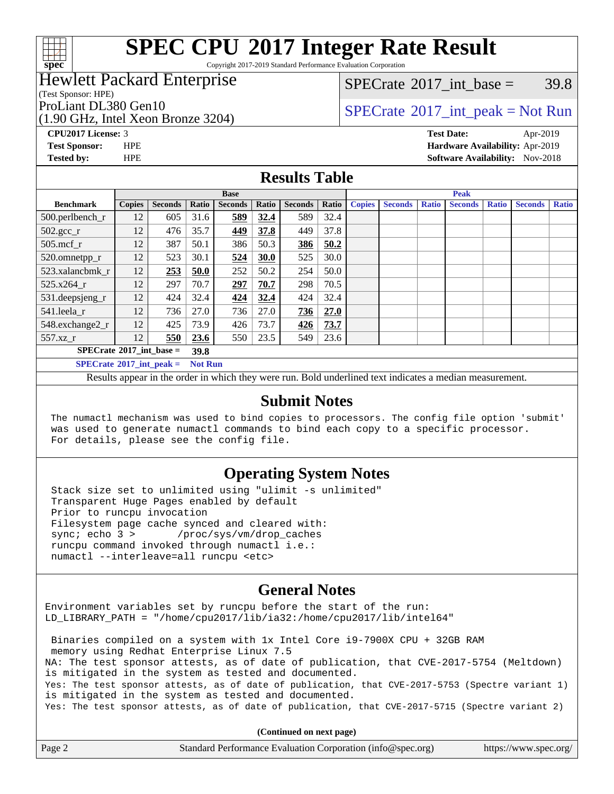# **[spec](http://www.spec.org/)**

# **[SPEC CPU](http://www.spec.org/auto/cpu2017/Docs/result-fields.html#SPECCPU2017IntegerRateResult)[2017 Integer Rate Result](http://www.spec.org/auto/cpu2017/Docs/result-fields.html#SPECCPU2017IntegerRateResult)**

Copyright 2017-2019 Standard Performance Evaluation Corporation

### Hewlett Packard Enterprise

(Test Sponsor: HPE)

(1.90 GHz, Intel Xeon Bronze 3204)

[SPECrate](http://www.spec.org/auto/cpu2017/Docs/result-fields.html#SPECrate2017intbase)<sup>®</sup>2017 int base = 39.8

### ProLiant DL380 Gen10  $SPECTA = 2204$   $SPECTA = 2017$  int peak = Not Run

**[CPU2017 License:](http://www.spec.org/auto/cpu2017/Docs/result-fields.html#CPU2017License)** 3 **[Test Date:](http://www.spec.org/auto/cpu2017/Docs/result-fields.html#TestDate)** Apr-2019

**[Test Sponsor:](http://www.spec.org/auto/cpu2017/Docs/result-fields.html#TestSponsor)** HPE **[Hardware Availability:](http://www.spec.org/auto/cpu2017/Docs/result-fields.html#HardwareAvailability)** Apr-2019 **[Tested by:](http://www.spec.org/auto/cpu2017/Docs/result-fields.html#Testedby)** HPE **HPE [Software Availability:](http://www.spec.org/auto/cpu2017/Docs/result-fields.html#SoftwareAvailability)** Nov-2018

### **[Results Table](http://www.spec.org/auto/cpu2017/Docs/result-fields.html#ResultsTable)**

|                                   | <b>Base</b>   |                |                |                |       |                | <b>Peak</b> |               |                |              |                |              |                |              |
|-----------------------------------|---------------|----------------|----------------|----------------|-------|----------------|-------------|---------------|----------------|--------------|----------------|--------------|----------------|--------------|
| <b>Benchmark</b>                  | <b>Copies</b> | <b>Seconds</b> | Ratio          | <b>Seconds</b> | Ratio | <b>Seconds</b> | Ratio       | <b>Copies</b> | <b>Seconds</b> | <b>Ratio</b> | <b>Seconds</b> | <b>Ratio</b> | <b>Seconds</b> | <b>Ratio</b> |
| 500.perlbench_r                   | 12            | 605            | 31.6           | 589            | 32.4  | 589            | 32.4        |               |                |              |                |              |                |              |
| $502.\text{gcc}_r$                | 12            | 476            | 35.7           | 449            | 37.8  | 449            | 37.8        |               |                |              |                |              |                |              |
| $505$ .mcf r                      | 12            | 387            | 50.1           | 386            | 50.3  | 386            | 50.2        |               |                |              |                |              |                |              |
| 520.omnetpp_r                     | 12            | 523            | 30.1           | 524            | 30.0  | 525            | 30.0        |               |                |              |                |              |                |              |
| 523.xalancbmk r                   | 12            | 253            | 50.0           | 252            | 50.2  | 254            | 50.0        |               |                |              |                |              |                |              |
| 525.x264 r                        | 12            | 297            | 70.7           | 297            | 70.7  | 298            | 70.5        |               |                |              |                |              |                |              |
| $531.$ deepsjeng $_r$             | 12            | 424            | 32.4           | 424            | 32.4  | 424            | 32.4        |               |                |              |                |              |                |              |
| 541.leela_r                       | 12            | 736            | 27.0           | 736            | 27.0  | 736            | 27.0        |               |                |              |                |              |                |              |
| 548.exchange2_r                   | 12            | 425            | 73.9           | 426            | 73.7  | 426            | 73.7        |               |                |              |                |              |                |              |
| 557.xz                            | 12            | 550            | 23.6           | 550            | 23.5  | 549            | 23.6        |               |                |              |                |              |                |              |
| $SPECrate^{\circ}2017$ int base = |               |                | 39.8           |                |       |                |             |               |                |              |                |              |                |              |
| $SPECrate^{\circ}2017$ int peak = |               |                | <b>Not Run</b> |                |       |                |             |               |                |              |                |              |                |              |

Results appear in the [order in which they were run](http://www.spec.org/auto/cpu2017/Docs/result-fields.html#RunOrder). Bold underlined text [indicates a median measurement](http://www.spec.org/auto/cpu2017/Docs/result-fields.html#Median).

#### **[Submit Notes](http://www.spec.org/auto/cpu2017/Docs/result-fields.html#SubmitNotes)**

 The numactl mechanism was used to bind copies to processors. The config file option 'submit' was used to generate numactl commands to bind each copy to a specific processor. For details, please see the config file.

### **[Operating System Notes](http://www.spec.org/auto/cpu2017/Docs/result-fields.html#OperatingSystemNotes)**

 Stack size set to unlimited using "ulimit -s unlimited" Transparent Huge Pages enabled by default Prior to runcpu invocation Filesystem page cache synced and cleared with: sync; echo 3 > /proc/sys/vm/drop\_caches runcpu command invoked through numactl i.e.: numactl --interleave=all runcpu <etc>

### **[General Notes](http://www.spec.org/auto/cpu2017/Docs/result-fields.html#GeneralNotes)**

Environment variables set by runcpu before the start of the run: LD\_LIBRARY\_PATH = "/home/cpu2017/lib/ia32:/home/cpu2017/lib/intel64"

 Binaries compiled on a system with 1x Intel Core i9-7900X CPU + 32GB RAM memory using Redhat Enterprise Linux 7.5 NA: The test sponsor attests, as of date of publication, that CVE-2017-5754 (Meltdown) is mitigated in the system as tested and documented. Yes: The test sponsor attests, as of date of publication, that CVE-2017-5753 (Spectre variant 1) is mitigated in the system as tested and documented. Yes: The test sponsor attests, as of date of publication, that CVE-2017-5715 (Spectre variant 2)

**(Continued on next page)**

| Page 2 | Standard Performance Evaluation Corporation (info@spec.org) | https://www.spec.org/ |
|--------|-------------------------------------------------------------|-----------------------|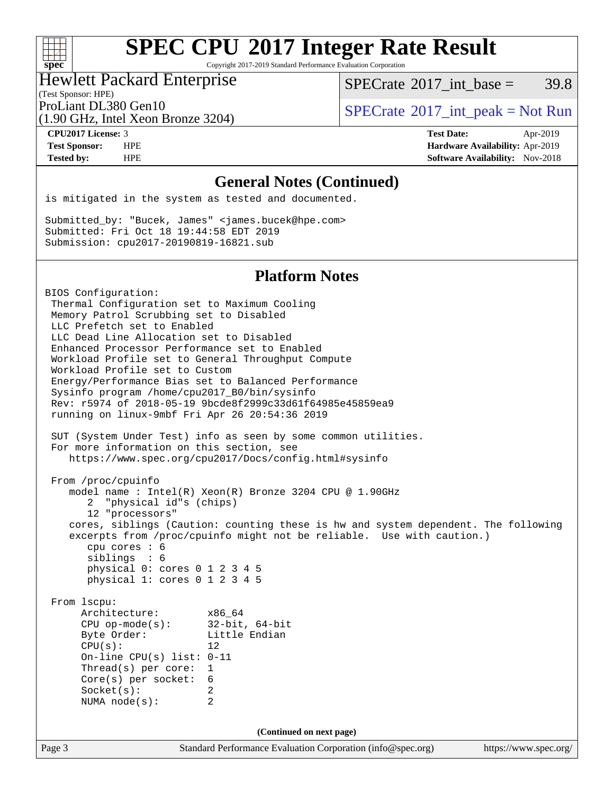Copyright 2017-2019 Standard Performance Evaluation Corporation

#### Hewlett Packard Enterprise

(Test Sponsor: HPE)

[SPECrate](http://www.spec.org/auto/cpu2017/Docs/result-fields.html#SPECrate2017intbase)<sup>®</sup>2017 int base = 39.8

(1.90 GHz, Intel Xeon Bronze 3204)

ProLiant DL380 Gen10  $SPECTA = 2204$   $SPECTA = 2017$  int peak = Not Run

**[CPU2017 License:](http://www.spec.org/auto/cpu2017/Docs/result-fields.html#CPU2017License)** 3 **[Test Date:](http://www.spec.org/auto/cpu2017/Docs/result-fields.html#TestDate)** Apr-2019 **[Test Sponsor:](http://www.spec.org/auto/cpu2017/Docs/result-fields.html#TestSponsor)** HPE **[Hardware Availability:](http://www.spec.org/auto/cpu2017/Docs/result-fields.html#HardwareAvailability)** Apr-2019 **[Tested by:](http://www.spec.org/auto/cpu2017/Docs/result-fields.html#Testedby)** HPE **[Software Availability:](http://www.spec.org/auto/cpu2017/Docs/result-fields.html#SoftwareAvailability)** Nov-2018

#### **[General Notes \(Continued\)](http://www.spec.org/auto/cpu2017/Docs/result-fields.html#GeneralNotes)**

is mitigated in the system as tested and documented.

Submitted\_by: "Bucek, James" <james.bucek@hpe.com> Submitted: Fri Oct 18 19:44:58 EDT 2019 Submission: cpu2017-20190819-16821.sub

#### **[Platform Notes](http://www.spec.org/auto/cpu2017/Docs/result-fields.html#PlatformNotes)**

Page 3 Standard Performance Evaluation Corporation [\(info@spec.org\)](mailto:info@spec.org) <https://www.spec.org/> BIOS Configuration: Thermal Configuration set to Maximum Cooling Memory Patrol Scrubbing set to Disabled LLC Prefetch set to Enabled LLC Dead Line Allocation set to Disabled Enhanced Processor Performance set to Enabled Workload Profile set to General Throughput Compute Workload Profile set to Custom Energy/Performance Bias set to Balanced Performance Sysinfo program /home/cpu2017\_B0/bin/sysinfo Rev: r5974 of 2018-05-19 9bcde8f2999c33d61f64985e45859ea9 running on linux-9mbf Fri Apr 26 20:54:36 2019 SUT (System Under Test) info as seen by some common utilities. For more information on this section, see <https://www.spec.org/cpu2017/Docs/config.html#sysinfo> From /proc/cpuinfo model name : Intel(R) Xeon(R) Bronze 3204 CPU @ 1.90GHz 2 "physical id"s (chips) 12 "processors" cores, siblings (Caution: counting these is hw and system dependent. The following excerpts from /proc/cpuinfo might not be reliable. Use with caution.) cpu cores : 6 siblings : 6 physical 0: cores 0 1 2 3 4 5 physical 1: cores 0 1 2 3 4 5 From lscpu: Architecture: x86\_64<br>
CPU op-mode(s): 32-bit, 64-bit CPU op-mode $(s)$ : Byte Order: Little Endian CPU(s): 12 On-line CPU(s) list: 0-11 Thread(s) per core: 1 Core(s) per socket: 6 Socket(s): 2 NUMA node(s): 2 **(Continued on next page)**

 $+\ +$ **[spec](http://www.spec.org/)**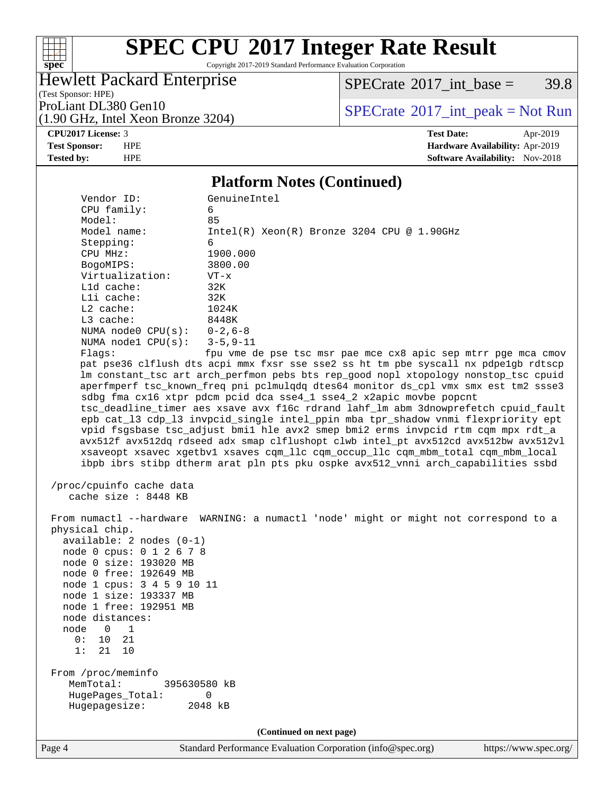

Copyright 2017-2019 Standard Performance Evaluation Corporation

Hewlett Packard Enterprise

 $SPECTate@2017_int\_base = 39.8$ 

(Test Sponsor: HPE) (1.90 GHz, Intel Xeon Bronze 3204)

ProLiant DL380 Gen10<br>(1.90 GHz, Intel Xeon Bronze 3204) [SPECrate](http://www.spec.org/auto/cpu2017/Docs/result-fields.html#SPECrate2017intpeak)®[2017\\_int\\_peak = N](http://www.spec.org/auto/cpu2017/Docs/result-fields.html#SPECrate2017intpeak)ot Run

**[CPU2017 License:](http://www.spec.org/auto/cpu2017/Docs/result-fields.html#CPU2017License)** 3 **[Test Date:](http://www.spec.org/auto/cpu2017/Docs/result-fields.html#TestDate)** Apr-2019 **[Test Sponsor:](http://www.spec.org/auto/cpu2017/Docs/result-fields.html#TestSponsor)** HPE **[Hardware Availability:](http://www.spec.org/auto/cpu2017/Docs/result-fields.html#HardwareAvailability)** Apr-2019 **[Tested by:](http://www.spec.org/auto/cpu2017/Docs/result-fields.html#Testedby)** HPE **HPE [Software Availability:](http://www.spec.org/auto/cpu2017/Docs/result-fields.html#SoftwareAvailability)** Nov-2018

#### **[Platform Notes \(Continued\)](http://www.spec.org/auto/cpu2017/Docs/result-fields.html#PlatformNotes)**

| Vendor ID:<br>CPU family:                                                                                                                                                                                                                                                                                               | GenuineIntel<br>6                                                                    |                       |
|-------------------------------------------------------------------------------------------------------------------------------------------------------------------------------------------------------------------------------------------------------------------------------------------------------------------------|--------------------------------------------------------------------------------------|-----------------------|
| Model:                                                                                                                                                                                                                                                                                                                  | 85                                                                                   |                       |
| Model name:                                                                                                                                                                                                                                                                                                             | $Intel(R) Xeon(R) Bronze 3204 CPU @ 1.90GHz$                                         |                       |
| Stepping:                                                                                                                                                                                                                                                                                                               | 6                                                                                    |                       |
| CPU MHz:                                                                                                                                                                                                                                                                                                                | 1900.000                                                                             |                       |
| BogoMIPS:                                                                                                                                                                                                                                                                                                               | 3800.00                                                                              |                       |
| Virtualization:                                                                                                                                                                                                                                                                                                         | $VT - x$                                                                             |                       |
| Lld cache:                                                                                                                                                                                                                                                                                                              | 32K                                                                                  |                       |
| Lli cache:                                                                                                                                                                                                                                                                                                              | 32K                                                                                  |                       |
| $L2$ cache:                                                                                                                                                                                                                                                                                                             | 1024K                                                                                |                       |
| L3 cache:                                                                                                                                                                                                                                                                                                               | 8448K                                                                                |                       |
| NUMA node0 $CPU(s): 0-2, 6-8$<br>NUMA nodel CPU(s):                                                                                                                                                                                                                                                                     | $3 - 5, 9 - 11$                                                                      |                       |
| Flags:                                                                                                                                                                                                                                                                                                                  | fpu vme de pse tsc msr pae mce cx8 apic sep mtrr pge mca cmov                        |                       |
|                                                                                                                                                                                                                                                                                                                         | pat pse36 clflush dts acpi mmx fxsr sse sse2 ss ht tm pbe syscall nx pdpe1gb rdtscp  |                       |
|                                                                                                                                                                                                                                                                                                                         | lm constant_tsc art arch_perfmon pebs bts rep_good nopl xtopology nonstop_tsc cpuid  |                       |
|                                                                                                                                                                                                                                                                                                                         | aperfmperf tsc_known_freq pni pclmulqdq dtes64 monitor ds_cpl vmx smx est tm2 ssse3  |                       |
|                                                                                                                                                                                                                                                                                                                         | sdbg fma cx16 xtpr pdcm pcid dca sse4_1 sse4_2 x2apic movbe popcnt                   |                       |
|                                                                                                                                                                                                                                                                                                                         | tsc_deadline_timer aes xsave avx f16c rdrand lahf_lm abm 3dnowprefetch cpuid_fault   |                       |
|                                                                                                                                                                                                                                                                                                                         | epb cat_13 cdp_13 invpcid_single intel_ppin mba tpr_shadow vnmi flexpriority ept     |                       |
|                                                                                                                                                                                                                                                                                                                         | vpid fsgsbase tsc_adjust bmil hle avx2 smep bmi2 erms invpcid rtm cqm mpx rdt_a      |                       |
|                                                                                                                                                                                                                                                                                                                         | avx512f avx512dq rdseed adx smap clflushopt clwb intel_pt avx512cd avx512bw avx512vl |                       |
|                                                                                                                                                                                                                                                                                                                         | xsaveopt xsavec xgetbvl xsaves cqm_llc cqm_occup_llc cqm_mbm_total cqm_mbm_local     |                       |
|                                                                                                                                                                                                                                                                                                                         | ibpb ibrs stibp dtherm arat pln pts pku ospke avx512_vnni arch_capabilities ssbd     |                       |
| /proc/cpuinfo cache data<br>cache size : 8448 KB<br>physical chip.<br>$available: 2 nodes (0-1)$<br>node 0 cpus: 0 1 2 6 7 8<br>node 0 size: 193020 MB<br>node 0 free: 192649 MB<br>node 1 cpus: 3 4 5 9 10 11<br>node 1 size: 193337 MB<br>node 1 free: 192951 MB<br>node distances:<br>node<br>$0\qquad1$<br>0: 10 21 | From numactl --hardware WARNING: a numactl 'node' might or might not correspond to a |                       |
| 1:<br>21<br>10<br>From /proc/meminfo                                                                                                                                                                                                                                                                                    |                                                                                      |                       |
| MemTotal:<br>395630580 kB                                                                                                                                                                                                                                                                                               |                                                                                      |                       |
| HugePages_Total:                                                                                                                                                                                                                                                                                                        | 0                                                                                    |                       |
| Hugepagesize:                                                                                                                                                                                                                                                                                                           | 2048 kB                                                                              |                       |
|                                                                                                                                                                                                                                                                                                                         | (Continued on next page)                                                             |                       |
| Page 4                                                                                                                                                                                                                                                                                                                  | Standard Performance Evaluation Corporation (info@spec.org)                          | https://www.spec.org/ |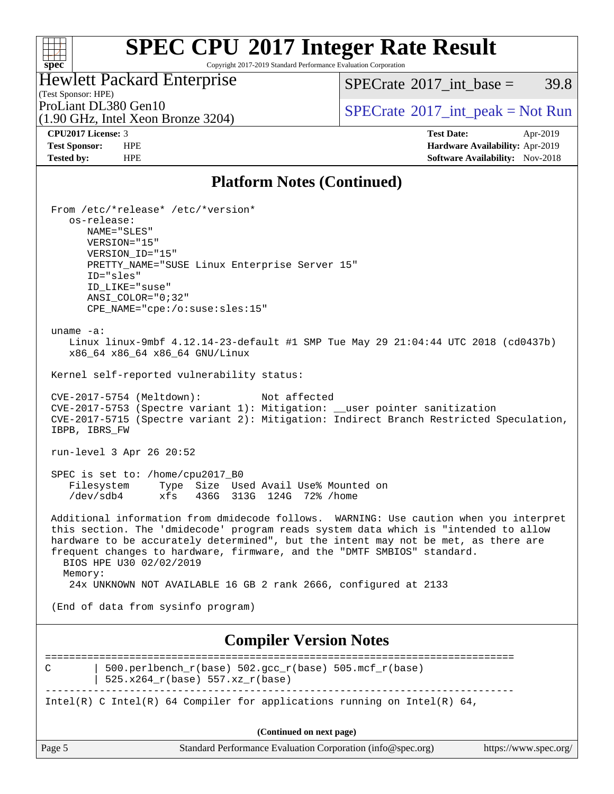Copyright 2017-2019 Standard Performance Evaluation Corporation

### Hewlett Packard Enterprise

(1.90 GHz, Intel Xeon Bronze 3204)

 $SPECTate@2017\_int\_base = 39.8$ 

(Test Sponsor: HPE)

ProLiant DL380 Gen10<br>(1.90 GHz, Intel Xeon Bronze 3204) [SPECrate](http://www.spec.org/auto/cpu2017/Docs/result-fields.html#SPECrate2017intpeak)®[2017\\_int\\_peak = N](http://www.spec.org/auto/cpu2017/Docs/result-fields.html#SPECrate2017intpeak)ot Run

**[spec](http://www.spec.org/)**

**[CPU2017 License:](http://www.spec.org/auto/cpu2017/Docs/result-fields.html#CPU2017License)** 3 **[Test Date:](http://www.spec.org/auto/cpu2017/Docs/result-fields.html#TestDate)** Apr-2019 **[Test Sponsor:](http://www.spec.org/auto/cpu2017/Docs/result-fields.html#TestSponsor)** HPE **[Hardware Availability:](http://www.spec.org/auto/cpu2017/Docs/result-fields.html#HardwareAvailability)** Apr-2019 **[Tested by:](http://www.spec.org/auto/cpu2017/Docs/result-fields.html#Testedby)** HPE **HPE [Software Availability:](http://www.spec.org/auto/cpu2017/Docs/result-fields.html#SoftwareAvailability)** Nov-2018

### **[Platform Notes \(Continued\)](http://www.spec.org/auto/cpu2017/Docs/result-fields.html#PlatformNotes)**

|               | From /etc/*release* /etc/*version*<br>os-release:<br>NAME="SLES"<br>VERSION="15"<br>VERSION_ID="15"<br>PRETTY_NAME="SUSE Linux Enterprise Server 15"<br>ID="sles"<br>ID_LIKE="suse"<br>$ANSI\_COLOR = "0:32"$<br>$CPE$ NAME="cpe:/o:suse:sles:15"                                                                                                                                                                                            |                       |
|---------------|----------------------------------------------------------------------------------------------------------------------------------------------------------------------------------------------------------------------------------------------------------------------------------------------------------------------------------------------------------------------------------------------------------------------------------------------|-----------------------|
| uname $-a$ :  | Linux linux-9mbf 4.12.14-23-default #1 SMP Tue May 29 21:04:44 UTC 2018 (cd0437b)<br>x86_64 x86_64 x86_64 GNU/Linux                                                                                                                                                                                                                                                                                                                          |                       |
|               | Kernel self-reported vulnerability status:                                                                                                                                                                                                                                                                                                                                                                                                   |                       |
| IBPB, IBRS FW | CVE-2017-5754 (Meltdown):<br>Not affected<br>CVE-2017-5753 (Spectre variant 1): Mitigation: __user pointer sanitization<br>CVE-2017-5715 (Spectre variant 2): Mitigation: Indirect Branch Restricted Speculation,                                                                                                                                                                                                                            |                       |
|               | run-level 3 Apr 26 20:52                                                                                                                                                                                                                                                                                                                                                                                                                     |                       |
|               | SPEC is set to: /home/cpu2017_B0<br>Filesystem<br>Type Size Used Avail Use% Mounted on<br>/dev/sdb4<br>xfs<br>436G 313G 124G 72% / home                                                                                                                                                                                                                                                                                                      |                       |
| Memory:       | Additional information from dmidecode follows. WARNING: Use caution when you interpret<br>this section. The 'dmidecode' program reads system data which is "intended to allow<br>hardware to be accurately determined", but the intent may not be met, as there are<br>frequent changes to hardware, firmware, and the "DMTF SMBIOS" standard.<br>BIOS HPE U30 02/02/2019<br>24x UNKNOWN NOT AVAILABLE 16 GB 2 rank 2666, configured at 2133 |                       |
|               | (End of data from sysinfo program)                                                                                                                                                                                                                                                                                                                                                                                                           |                       |
|               | <b>Compiler Version Notes</b>                                                                                                                                                                                                                                                                                                                                                                                                                |                       |
| C             | 500.perlbench_r(base) 502.gcc_r(base) 505.mcf_r(base)<br>525.x264_r(base) 557.xz_r(base)                                                                                                                                                                                                                                                                                                                                                     |                       |
|               | Intel(R) C Intel(R) 64 Compiler for applications running on Intel(R) 64,                                                                                                                                                                                                                                                                                                                                                                     |                       |
|               | (Continued on next page)                                                                                                                                                                                                                                                                                                                                                                                                                     |                       |
| Page 5        | Standard Performance Evaluation Corporation (info@spec.org)                                                                                                                                                                                                                                                                                                                                                                                  | https://www.spec.org/ |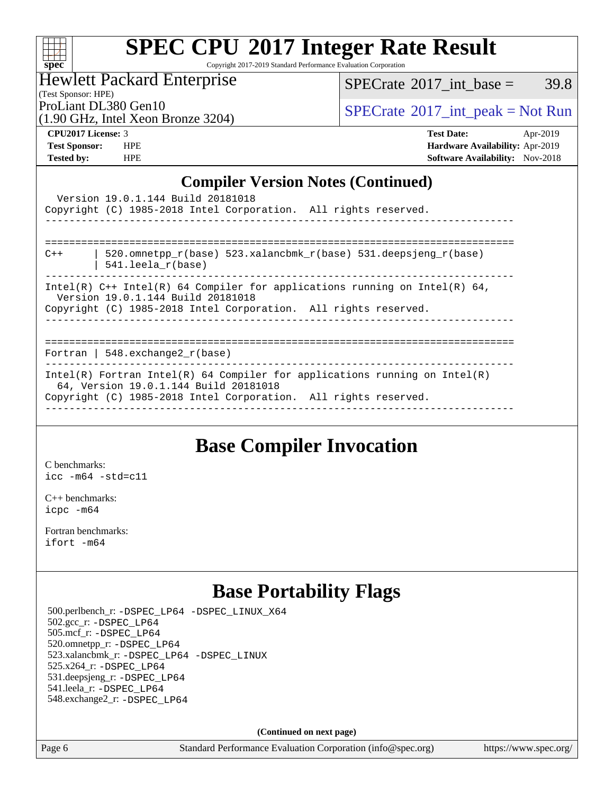

Copyright 2017-2019 Standard Performance Evaluation Corporation

Hewlett Packard Enterprise

 $SPECTate@2017\_int\_base = 39.8$ 

(Test Sponsor: HPE)

(1.90 GHz, Intel Xeon Bronze 3204)

ProLiant DL380 Gen10<br>(1.00 GHz, Intel Yogn Bronze 3204) [SPECrate](http://www.spec.org/auto/cpu2017/Docs/result-fields.html#SPECrate2017intpeak)®[2017\\_int\\_peak = N](http://www.spec.org/auto/cpu2017/Docs/result-fields.html#SPECrate2017intpeak)ot Run

**[CPU2017 License:](http://www.spec.org/auto/cpu2017/Docs/result-fields.html#CPU2017License)** 3 **[Test Date:](http://www.spec.org/auto/cpu2017/Docs/result-fields.html#TestDate)** Apr-2019 **[Test Sponsor:](http://www.spec.org/auto/cpu2017/Docs/result-fields.html#TestSponsor)** HPE **[Hardware Availability:](http://www.spec.org/auto/cpu2017/Docs/result-fields.html#HardwareAvailability)** Apr-2019 **[Tested by:](http://www.spec.org/auto/cpu2017/Docs/result-fields.html#Testedby)** HPE **[Software Availability:](http://www.spec.org/auto/cpu2017/Docs/result-fields.html#SoftwareAvailability)** Nov-2018

### **[Compiler Version Notes \(Continued\)](http://www.spec.org/auto/cpu2017/Docs/result-fields.html#CompilerVersionNotes)**

| Version 19.0.1.144 Build 20181018<br>Copyright (C) 1985-2018 Intel Corporation. All rights reserved.                                                                                   |
|----------------------------------------------------------------------------------------------------------------------------------------------------------------------------------------|
|                                                                                                                                                                                        |
| 520.omnetpp $r(base)$ 523.xalancbmk $r(base)$ 531.deepsjeng $r(base)$<br>$C++$<br>$541.$ leela r(base)                                                                                 |
| Intel(R) $C++$ Intel(R) 64 Compiler for applications running on Intel(R) 64,<br>Version 19.0.1.144 Build 20181018<br>Copyright (C) 1985-2018 Intel Corporation. All rights reserved.   |
|                                                                                                                                                                                        |
| Fortran   548.exchange2 $r(base)$                                                                                                                                                      |
| Intel(R) Fortran Intel(R) 64 Compiler for applications running on Intel(R)<br>64, Version 19.0.1.144 Build 20181018<br>Copyright (C) 1985-2018 Intel Corporation. All rights reserved. |
|                                                                                                                                                                                        |

### **[Base Compiler Invocation](http://www.spec.org/auto/cpu2017/Docs/result-fields.html#BaseCompilerInvocation)**

[C benchmarks](http://www.spec.org/auto/cpu2017/Docs/result-fields.html#Cbenchmarks): [icc -m64 -std=c11](http://www.spec.org/cpu2017/results/res2019q4/cpu2017-20190819-16821.flags.html#user_CCbase_intel_icc_64bit_c11_33ee0cdaae7deeeab2a9725423ba97205ce30f63b9926c2519791662299b76a0318f32ddfffdc46587804de3178b4f9328c46fa7c2b0cd779d7a61945c91cd35)

[C++ benchmarks:](http://www.spec.org/auto/cpu2017/Docs/result-fields.html#CXXbenchmarks) [icpc -m64](http://www.spec.org/cpu2017/results/res2019q4/cpu2017-20190819-16821.flags.html#user_CXXbase_intel_icpc_64bit_4ecb2543ae3f1412ef961e0650ca070fec7b7afdcd6ed48761b84423119d1bf6bdf5cad15b44d48e7256388bc77273b966e5eb805aefd121eb22e9299b2ec9d9)

[Fortran benchmarks](http://www.spec.org/auto/cpu2017/Docs/result-fields.html#Fortranbenchmarks): [ifort -m64](http://www.spec.org/cpu2017/results/res2019q4/cpu2017-20190819-16821.flags.html#user_FCbase_intel_ifort_64bit_24f2bb282fbaeffd6157abe4f878425411749daecae9a33200eee2bee2fe76f3b89351d69a8130dd5949958ce389cf37ff59a95e7a40d588e8d3a57e0c3fd751)

### **[Base Portability Flags](http://www.spec.org/auto/cpu2017/Docs/result-fields.html#BasePortabilityFlags)**

 500.perlbench\_r: [-DSPEC\\_LP64](http://www.spec.org/cpu2017/results/res2019q4/cpu2017-20190819-16821.flags.html#b500.perlbench_r_basePORTABILITY_DSPEC_LP64) [-DSPEC\\_LINUX\\_X64](http://www.spec.org/cpu2017/results/res2019q4/cpu2017-20190819-16821.flags.html#b500.perlbench_r_baseCPORTABILITY_DSPEC_LINUX_X64) 502.gcc\_r: [-DSPEC\\_LP64](http://www.spec.org/cpu2017/results/res2019q4/cpu2017-20190819-16821.flags.html#suite_basePORTABILITY502_gcc_r_DSPEC_LP64) 505.mcf\_r: [-DSPEC\\_LP64](http://www.spec.org/cpu2017/results/res2019q4/cpu2017-20190819-16821.flags.html#suite_basePORTABILITY505_mcf_r_DSPEC_LP64) 520.omnetpp\_r: [-DSPEC\\_LP64](http://www.spec.org/cpu2017/results/res2019q4/cpu2017-20190819-16821.flags.html#suite_basePORTABILITY520_omnetpp_r_DSPEC_LP64) 523.xalancbmk\_r: [-DSPEC\\_LP64](http://www.spec.org/cpu2017/results/res2019q4/cpu2017-20190819-16821.flags.html#suite_basePORTABILITY523_xalancbmk_r_DSPEC_LP64) [-DSPEC\\_LINUX](http://www.spec.org/cpu2017/results/res2019q4/cpu2017-20190819-16821.flags.html#b523.xalancbmk_r_baseCXXPORTABILITY_DSPEC_LINUX) 525.x264\_r: [-DSPEC\\_LP64](http://www.spec.org/cpu2017/results/res2019q4/cpu2017-20190819-16821.flags.html#suite_basePORTABILITY525_x264_r_DSPEC_LP64) 531.deepsjeng\_r: [-DSPEC\\_LP64](http://www.spec.org/cpu2017/results/res2019q4/cpu2017-20190819-16821.flags.html#suite_basePORTABILITY531_deepsjeng_r_DSPEC_LP64) 541.leela\_r: [-DSPEC\\_LP64](http://www.spec.org/cpu2017/results/res2019q4/cpu2017-20190819-16821.flags.html#suite_basePORTABILITY541_leela_r_DSPEC_LP64) 548.exchange2\_r: [-DSPEC\\_LP64](http://www.spec.org/cpu2017/results/res2019q4/cpu2017-20190819-16821.flags.html#suite_basePORTABILITY548_exchange2_r_DSPEC_LP64)

**(Continued on next page)**

Page 6 Standard Performance Evaluation Corporation [\(info@spec.org\)](mailto:info@spec.org) <https://www.spec.org/>